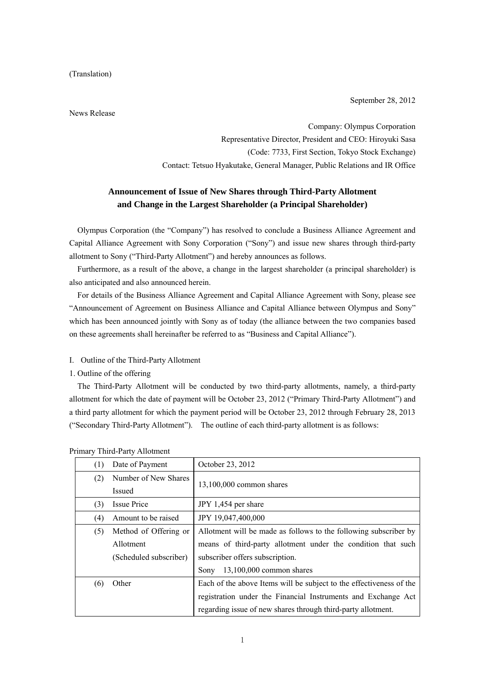(Translation)

September 28, 2012

News Release

Company: Olympus Corporation Representative Director, President and CEO: Hiroyuki Sasa (Code: 7733, First Section, Tokyo Stock Exchange) Contact: Tetsuo Hyakutake, General Manager, Public Relations and IR Office

# **Announcement of Issue of New Shares through Third-Party Allotment and Change in the Largest Shareholder (a Principal Shareholder)**

Olympus Corporation (the "Company") has resolved to conclude a Business Alliance Agreement and Capital Alliance Agreement with Sony Corporation ("Sony") and issue new shares through third-party allotment to Sony ("Third-Party Allotment") and hereby announces as follows.

Furthermore, as a result of the above, a change in the largest shareholder (a principal shareholder) is also anticipated and also announced herein.

For details of the Business Alliance Agreement and Capital Alliance Agreement with Sony, please see "Announcement of Agreement on Business Alliance and Capital Alliance between Olympus and Sony" which has been announced jointly with Sony as of today (the alliance between the two companies based on these agreements shall hereinafter be referred to as "Business and Capital Alliance").

- I. Outline of the Third-Party Allotment
- 1. Outline of the offering

The Third-Party Allotment will be conducted by two third-party allotments, namely, a third-party allotment for which the date of payment will be October 23, 2012 ("Primary Third-Party Allotment") and a third party allotment for which the payment period will be October 23, 2012 through February 28, 2013 ("Secondary Third-Party Allotment"). The outline of each third-party allotment is as follows:

| (1) | Date of Payment        | October 23, 2012                                                    |
|-----|------------------------|---------------------------------------------------------------------|
| (2) | Number of New Shares   |                                                                     |
|     | Issued                 | $13,100,000$ common shares                                          |
| (3) | <b>Issue Price</b>     | JPY 1,454 per share                                                 |
| (4) | Amount to be raised    | JPY 19,047,400,000                                                  |
| (5) | Method of Offering or  | Allotment will be made as follows to the following subscriber by    |
|     | Allotment              | means of third-party allotment under the condition that such        |
|     | (Scheduled subscriber) | subscriber offers subscription.                                     |
|     |                        | 13,100,000 common shares<br>Sony                                    |
| (6) | Other                  | Each of the above Items will be subject to the effectiveness of the |
|     |                        | registration under the Financial Instruments and Exchange Act       |
|     |                        | regarding issue of new shares through third-party allotment.        |

|  | Primary Third-Party Allotment |  |
|--|-------------------------------|--|
|--|-------------------------------|--|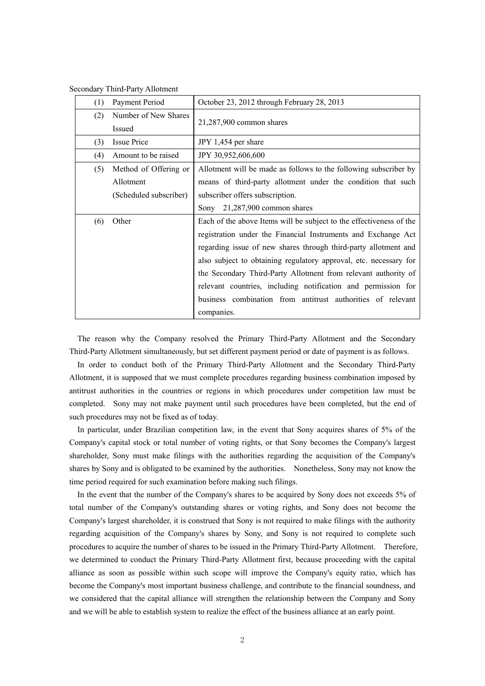| <b>Secondary Third-Party Allotment</b> |
|----------------------------------------|
|----------------------------------------|

| (1) | Payment Period         | October 23, 2012 through February 28, 2013                          |
|-----|------------------------|---------------------------------------------------------------------|
| (2) | Number of New Shares   | 21,287,900 common shares                                            |
|     | Issued                 |                                                                     |
| (3) | <b>Issue Price</b>     | JPY 1,454 per share                                                 |
| (4) | Amount to be raised    | JPY 30,952,606,600                                                  |
| (5) | Method of Offering or  | Allotment will be made as follows to the following subscriber by    |
|     | Allotment              | means of third-party allotment under the condition that such        |
|     | (Scheduled subscriber) | subscriber offers subscription.                                     |
|     |                        | Sony 21,287,900 common shares                                       |
| (6) | Other                  | Each of the above Items will be subject to the effectiveness of the |
|     |                        | registration under the Financial Instruments and Exchange Act       |
|     |                        | regarding issue of new shares through third-party allotment and     |
|     |                        | also subject to obtaining regulatory approval, etc. necessary for   |
|     |                        | the Secondary Third-Party Allotment from relevant authority of      |
|     |                        | relevant countries, including notification and permission for       |
|     |                        | business combination from antitrust authorities of relevant         |
|     |                        | companies.                                                          |

The reason why the Company resolved the Primary Third-Party Allotment and the Secondary Third-Party Allotment simultaneously, but set different payment period or date of payment is as follows.

In order to conduct both of the Primary Third-Party Allotment and the Secondary Third-Party Allotment, it is supposed that we must complete procedures regarding business combination imposed by antitrust authorities in the countries or regions in which procedures under competition law must be completed. Sony may not make payment until such procedures have been completed, but the end of such procedures may not be fixed as of today.

In particular, under Brazilian competition law, in the event that Sony acquires shares of 5% of the Company's capital stock or total number of voting rights, or that Sony becomes the Company's largest shareholder, Sony must make filings with the authorities regarding the acquisition of the Company's shares by Sony and is obligated to be examined by the authorities. Nonetheless, Sony may not know the time period required for such examination before making such filings.

In the event that the number of the Company's shares to be acquired by Sony does not exceeds 5% of total number of the Company's outstanding shares or voting rights, and Sony does not become the Company's largest shareholder, it is construed that Sony is not required to make filings with the authority regarding acquisition of the Company's shares by Sony, and Sony is not required to complete such procedures to acquire the number of shares to be issued in the Primary Third-Party Allotment. Therefore, we determined to conduct the Primary Third-Party Allotment first, because proceeding with the capital alliance as soon as possible within such scope will improve the Company's equity ratio, which has become the Company's most important business challenge, and contribute to the financial soundness, and we considered that the capital alliance will strengthen the relationship between the Company and Sony and we will be able to establish system to realize the effect of the business alliance at an early point.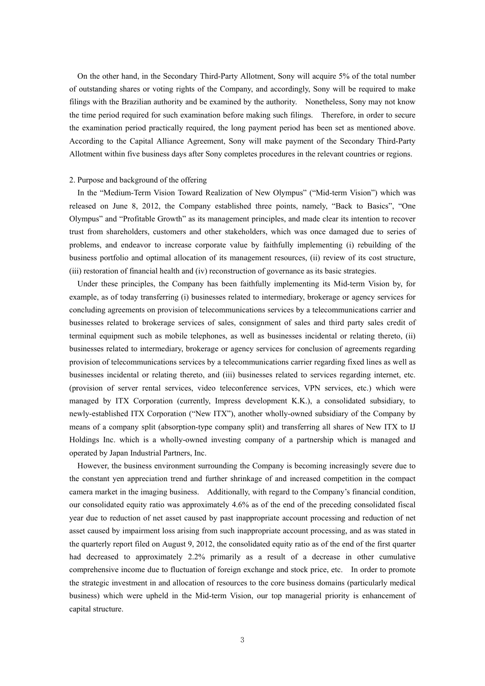On the other hand, in the Secondary Third-Party Allotment, Sony will acquire 5% of the total number of outstanding shares or voting rights of the Company, and accordingly, Sony will be required to make filings with the Brazilian authority and be examined by the authority. Nonetheless, Sony may not know the time period required for such examination before making such filings. Therefore, in order to secure the examination period practically required, the long payment period has been set as mentioned above. According to the Capital Alliance Agreement, Sony will make payment of the Secondary Third-Party Allotment within five business days after Sony completes procedures in the relevant countries or regions.

#### 2. Purpose and background of the offering

In the "Medium-Term Vision Toward Realization of New Olympus" ("Mid-term Vision") which was released on June 8, 2012, the Company established three points, namely, "Back to Basics", "One Olympus" and "Profitable Growth" as its management principles, and made clear its intention to recover trust from shareholders, customers and other stakeholders, which was once damaged due to series of problems, and endeavor to increase corporate value by faithfully implementing (i) rebuilding of the business portfolio and optimal allocation of its management resources, (ii) review of its cost structure, (iii) restoration of financial health and (iv) reconstruction of governance as its basic strategies.

Under these principles, the Company has been faithfully implementing its Mid-term Vision by, for example, as of today transferring (i) businesses related to intermediary, brokerage or agency services for concluding agreements on provision of telecommunications services by a telecommunications carrier and businesses related to brokerage services of sales, consignment of sales and third party sales credit of terminal equipment such as mobile telephones, as well as businesses incidental or relating thereto, (ii) businesses related to intermediary, brokerage or agency services for conclusion of agreements regarding provision of telecommunications services by a telecommunications carrier regarding fixed lines as well as businesses incidental or relating thereto, and (iii) businesses related to services regarding internet, etc. (provision of server rental services, video teleconference services, VPN services, etc.) which were managed by ITX Corporation (currently, Impress development K.K.), a consolidated subsidiary, to newly-established ITX Corporation ("New ITX"), another wholly-owned subsidiary of the Company by means of a company split (absorption-type company split) and transferring all shares of New ITX to IJ Holdings Inc. which is a wholly-owned investing company of a partnership which is managed and operated by Japan Industrial Partners, Inc.

However, the business environment surrounding the Company is becoming increasingly severe due to the constant yen appreciation trend and further shrinkage of and increased competition in the compact camera market in the imaging business. Additionally, with regard to the Company's financial condition, our consolidated equity ratio was approximately 4.6% as of the end of the preceding consolidated fiscal year due to reduction of net asset caused by past inappropriate account processing and reduction of net asset caused by impairment loss arising from such inappropriate account processing, and as was stated in the quarterly report filed on August 9, 2012, the consolidated equity ratio as of the end of the first quarter had decreased to approximately 2.2% primarily as a result of a decrease in other cumulative comprehensive income due to fluctuation of foreign exchange and stock price, etc. In order to promote the strategic investment in and allocation of resources to the core business domains (particularly medical business) which were upheld in the Mid-term Vision, our top managerial priority is enhancement of capital structure.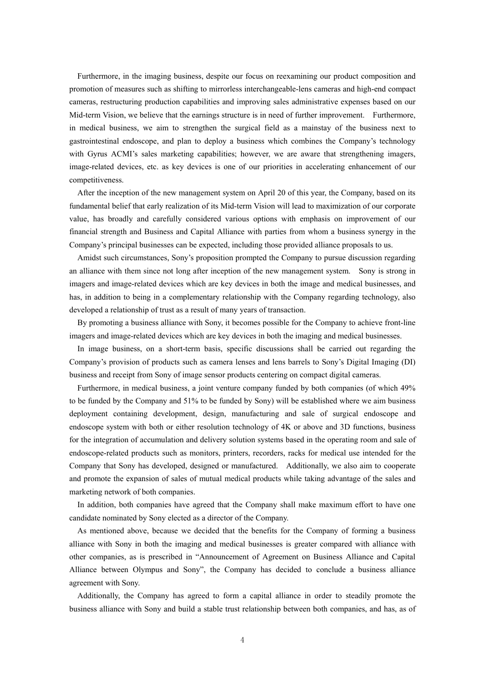Furthermore, in the imaging business, despite our focus on reexamining our product composition and promotion of measures such as shifting to mirrorless interchangeable-lens cameras and high-end compact cameras, restructuring production capabilities and improving sales administrative expenses based on our Mid-term Vision, we believe that the earnings structure is in need of further improvement. Furthermore, in medical business, we aim to strengthen the surgical field as a mainstay of the business next to gastrointestinal endoscope, and plan to deploy a business which combines the Company's technology with Gyrus ACMI's sales marketing capabilities; however, we are aware that strengthening imagers, image-related devices, etc. as key devices is one of our priorities in accelerating enhancement of our competitiveness.

After the inception of the new management system on April 20 of this year, the Company, based on its fundamental belief that early realization of its Mid-term Vision will lead to maximization of our corporate value, has broadly and carefully considered various options with emphasis on improvement of our financial strength and Business and Capital Alliance with parties from whom a business synergy in the Company's principal businesses can be expected, including those provided alliance proposals to us.

Amidst such circumstances, Sony's proposition prompted the Company to pursue discussion regarding an alliance with them since not long after inception of the new management system. Sony is strong in imagers and image-related devices which are key devices in both the image and medical businesses, and has, in addition to being in a complementary relationship with the Company regarding technology, also developed a relationship of trust as a result of many years of transaction.

By promoting a business alliance with Sony, it becomes possible for the Company to achieve front-line imagers and image-related devices which are key devices in both the imaging and medical businesses.

In image business, on a short-term basis, specific discussions shall be carried out regarding the Company's provision of products such as camera lenses and lens barrels to Sony's Digital Imaging (DI) business and receipt from Sony of image sensor products centering on compact digital cameras.

Furthermore, in medical business, a joint venture company funded by both companies (of which 49% to be funded by the Company and 51% to be funded by Sony) will be established where we aim business deployment containing development, design, manufacturing and sale of surgical endoscope and endoscope system with both or either resolution technology of 4K or above and 3D functions, business for the integration of accumulation and delivery solution systems based in the operating room and sale of endoscope-related products such as monitors, printers, recorders, racks for medical use intended for the Company that Sony has developed, designed or manufactured. Additionally, we also aim to cooperate and promote the expansion of sales of mutual medical products while taking advantage of the sales and marketing network of both companies.

In addition, both companies have agreed that the Company shall make maximum effort to have one candidate nominated by Sony elected as a director of the Company.

As mentioned above, because we decided that the benefits for the Company of forming a business alliance with Sony in both the imaging and medical businesses is greater compared with alliance with other companies, as is prescribed in "Announcement of Agreement on Business Alliance and Capital Alliance between Olympus and Sony", the Company has decided to conclude a business alliance agreement with Sony.

Additionally, the Company has agreed to form a capital alliance in order to steadily promote the business alliance with Sony and build a stable trust relationship between both companies, and has, as of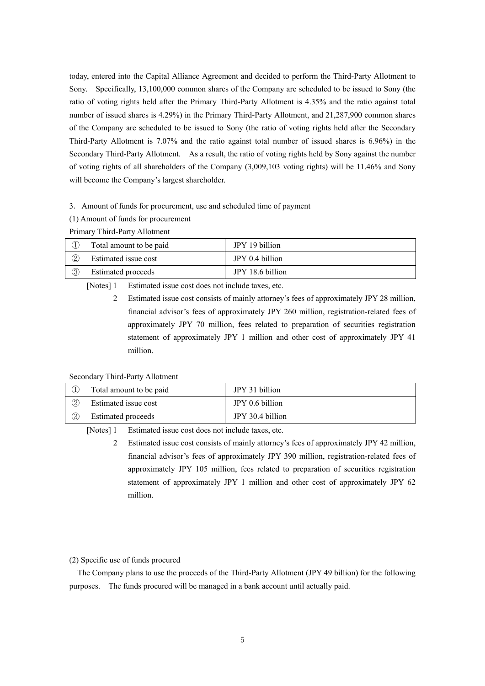today, entered into the Capital Alliance Agreement and decided to perform the Third-Party Allotment to Sony. Specifically, 13,100,000 common shares of the Company are scheduled to be issued to Sony (the ratio of voting rights held after the Primary Third-Party Allotment is 4.35% and the ratio against total number of issued shares is 4.29%) in the Primary Third-Party Allotment, and 21,287,900 common shares of the Company are scheduled to be issued to Sony (the ratio of voting rights held after the Secondary Third-Party Allotment is 7.07% and the ratio against total number of issued shares is 6.96%) in the Secondary Third-Party Allotment. As a result, the ratio of voting rights held by Sony against the number of voting rights of all shareholders of the Company (3,009,103 voting rights) will be 11.46% and Sony will become the Company's largest shareholder.

## 3.Amount of funds for procurement, use and scheduled time of payment

(1) Amount of funds for procurement

|                 | Total amount to be paid   | JPY 19 billion   |
|-----------------|---------------------------|------------------|
| $^{\copyright}$ | Estimated issue cost      | JPY 0.4 billion  |
| $^\circledR$    | <b>Estimated proceeds</b> | JPY 18.6 billion |

## Primary Third-Party Allotment

[Notes] 1 Estimated issue cost does not include taxes, etc.

2 Estimated issue cost consists of mainly attorney's fees of approximately JPY 28 million, financial advisor's fees of approximately JPY 260 million, registration-related fees of approximately JPY 70 million, fees related to preparation of securities registration statement of approximately JPY 1 million and other cost of approximately JPY 41 million.

Secondary Third-Party Allotment

|    | Total amount to be paid   | JPY 31 billion   |
|----|---------------------------|------------------|
| 2  | Estimated issue cost      | JPY 0.6 billion  |
| O. | <b>Estimated proceeds</b> | JPY 30.4 billion |

[Notes] 1 Estimated issue cost does not include taxes, etc.

2 Estimated issue cost consists of mainly attorney's fees of approximately JPY 42 million, financial advisor's fees of approximately JPY 390 million, registration-related fees of approximately JPY 105 million, fees related to preparation of securities registration statement of approximately JPY 1 million and other cost of approximately JPY 62 million.

#### (2) Specific use of funds procured

The Company plans to use the proceeds of the Third-Party Allotment (JPY 49 billion) for the following purposes. The funds procured will be managed in a bank account until actually paid.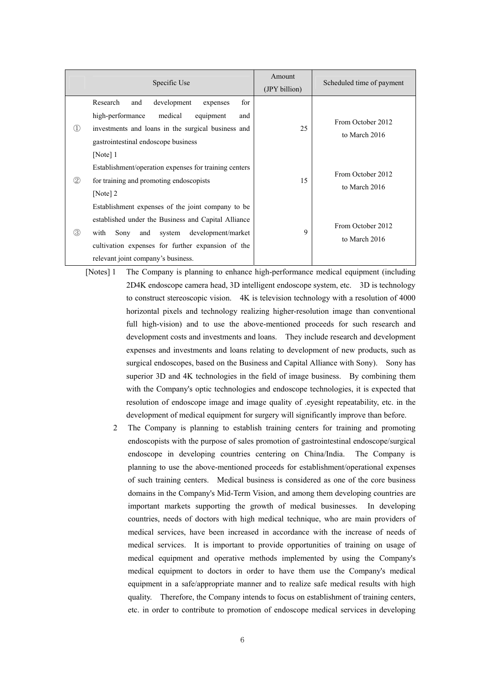|                  | Specific Use                                                                                                                                                                                                                                               | Amount<br>(JPY billion) | Scheduled time of payment          |
|------------------|------------------------------------------------------------------------------------------------------------------------------------------------------------------------------------------------------------------------------------------------------------|-------------------------|------------------------------------|
| $\left(1\right)$ | for<br>Research<br>development<br>and<br>expenses<br>high-performance<br>medical<br>equipment<br>and<br>investments and loans in the surgical business and<br>gastrointestinal endoscope business<br>[Note] 1                                              | 25                      | From October 2012<br>to March 2016 |
| $\circled{2}$    | Establishment/operation expenses for training centers<br>for training and promoting endoscopists<br>[Note] $2$                                                                                                                                             | 15                      | From October 2012<br>to March 2016 |
| ③                | Establishment expenses of the joint company to be<br>established under the Business and Capital Alliance<br>Sony<br>development/market<br>with<br>and<br>system<br>cultivation expenses for further expansion of the<br>relevant joint company's business. | 9                       | From October 2012<br>to March 2016 |

- [Notes] 1 The Company is planning to enhance high-performance medical equipment (including 2D4K endoscope camera head, 3D intelligent endoscope system, etc. 3D is technology to construct stereoscopic vision. 4K is television technology with a resolution of 4000 horizontal pixels and technology realizing higher-resolution image than conventional full high-vision) and to use the above-mentioned proceeds for such research and development costs and investments and loans. They include research and development expenses and investments and loans relating to development of new products, such as surgical endoscopes, based on the Business and Capital Alliance with Sony). Sony has superior 3D and 4K technologies in the field of image business. By combining them with the Company's optic technologies and endoscope technologies, it is expected that resolution of endoscope image and image quality of .eyesight repeatability, etc. in the development of medical equipment for surgery will significantly improve than before.
	- 2 The Company is planning to establish training centers for training and promoting endoscopists with the purpose of sales promotion of gastrointestinal endoscope/surgical endoscope in developing countries centering on China/India. The Company is planning to use the above-mentioned proceeds for establishment/operational expenses of such training centers. Medical business is considered as one of the core business domains in the Company's Mid-Term Vision, and among them developing countries are important markets supporting the growth of medical businesses. In developing countries, needs of doctors with high medical technique, who are main providers of medical services, have been increased in accordance with the increase of needs of medical services. It is important to provide opportunities of training on usage of medical equipment and operative methods implemented by using the Company's medical equipment to doctors in order to have them use the Company's medical equipment in a safe/appropriate manner and to realize safe medical results with high quality. Therefore, the Company intends to focus on establishment of training centers, etc. in order to contribute to promotion of endoscope medical services in developing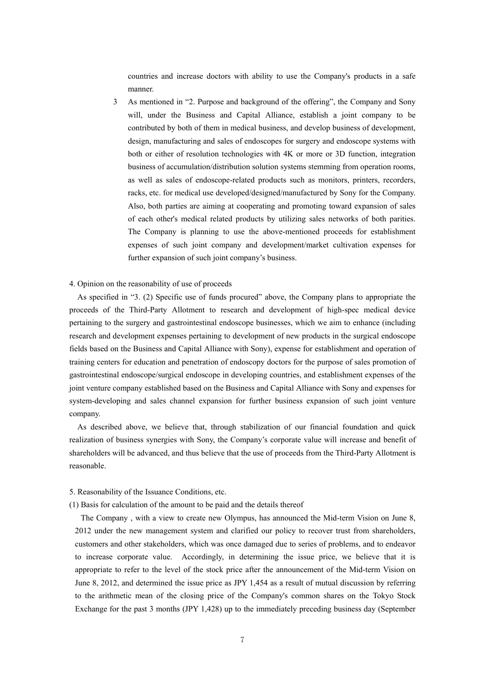countries and increase doctors with ability to use the Company's products in a safe manner.

3 As mentioned in "2. Purpose and background of the offering", the Company and Sony will, under the Business and Capital Alliance, establish a joint company to be contributed by both of them in medical business, and develop business of development, design, manufacturing and sales of endoscopes for surgery and endoscope systems with both or either of resolution technologies with 4K or more or 3D function, integration business of accumulation/distribution solution systems stemming from operation rooms, as well as sales of endoscope-related products such as monitors, printers, recorders, racks, etc. for medical use developed/designed/manufactured by Sony for the Company. Also, both parties are aiming at cooperating and promoting toward expansion of sales of each other's medical related products by utilizing sales networks of both parities. The Company is planning to use the above-mentioned proceeds for establishment expenses of such joint company and development/market cultivation expenses for further expansion of such joint company's business.

### 4. Opinion on the reasonability of use of proceeds

As specified in "3. (2) Specific use of funds procured" above, the Company plans to appropriate the proceeds of the Third-Party Allotment to research and development of high-spec medical device pertaining to the surgery and gastrointestinal endoscope businesses, which we aim to enhance (including research and development expenses pertaining to development of new products in the surgical endoscope fields based on the Business and Capital Alliance with Sony), expense for establishment and operation of training centers for education and penetration of endoscopy doctors for the purpose of sales promotion of gastrointestinal endoscope/surgical endoscope in developing countries, and establishment expenses of the joint venture company established based on the Business and Capital Alliance with Sony and expenses for system-developing and sales channel expansion for further business expansion of such joint venture company.

As described above, we believe that, through stabilization of our financial foundation and quick realization of business synergies with Sony, the Company's corporate value will increase and benefit of shareholders will be advanced, and thus believe that the use of proceeds from the Third-Party Allotment is reasonable.

#### 5. Reasonability of the Issuance Conditions, etc.

#### (1) Basis for calculation of the amount to be paid and the details thereof

The Company , with a view to create new Olympus, has announced the Mid-term Vision on June 8, 2012 under the new management system and clarified our policy to recover trust from shareholders, customers and other stakeholders, which was once damaged due to series of problems, and to endeavor to increase corporate value. Accordingly, in determining the issue price, we believe that it is appropriate to refer to the level of the stock price after the announcement of the Mid-term Vision on June 8, 2012, and determined the issue price as JPY 1,454 as a result of mutual discussion by referring to the arithmetic mean of the closing price of the Company's common shares on the Tokyo Stock Exchange for the past 3 months (JPY 1,428) up to the immediately preceding business day (September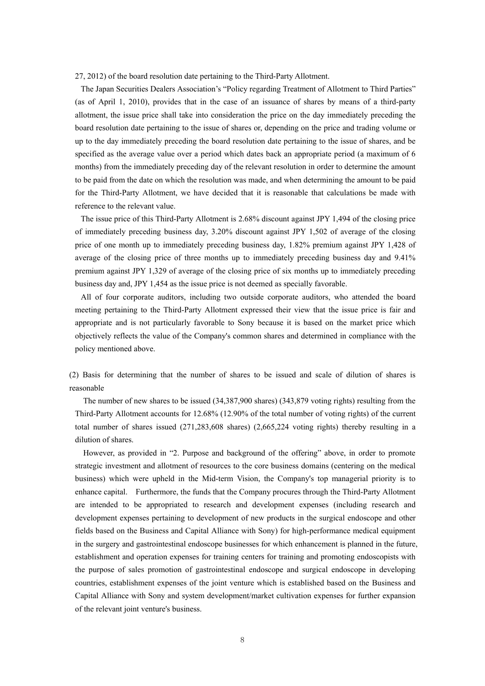27, 2012) of the board resolution date pertaining to the Third-Party Allotment.

The Japan Securities Dealers Association's "Policy regarding Treatment of Allotment to Third Parties" (as of April 1, 2010), provides that in the case of an issuance of shares by means of a third-party allotment, the issue price shall take into consideration the price on the day immediately preceding the board resolution date pertaining to the issue of shares or, depending on the price and trading volume or up to the day immediately preceding the board resolution date pertaining to the issue of shares, and be specified as the average value over a period which dates back an appropriate period (a maximum of 6 months) from the immediately preceding day of the relevant resolution in order to determine the amount to be paid from the date on which the resolution was made, and when determining the amount to be paid for the Third-Party Allotment, we have decided that it is reasonable that calculations be made with reference to the relevant value.

The issue price of this Third-Party Allotment is 2.68% discount against JPY 1,494 of the closing price of immediately preceding business day, 3.20% discount against JPY 1,502 of average of the closing price of one month up to immediately preceding business day, 1.82% premium against JPY 1,428 of average of the closing price of three months up to immediately preceding business day and 9.41% premium against JPY 1,329 of average of the closing price of six months up to immediately preceding business day and, JPY 1,454 as the issue price is not deemed as specially favorable.

All of four corporate auditors, including two outside corporate auditors, who attended the board meeting pertaining to the Third-Party Allotment expressed their view that the issue price is fair and appropriate and is not particularly favorable to Sony because it is based on the market price which objectively reflects the value of the Company's common shares and determined in compliance with the policy mentioned above.

(2) Basis for determining that the number of shares to be issued and scale of dilution of shares is reasonable

The number of new shares to be issued (34,387,900 shares) (343,879 voting rights) resulting from the Third-Party Allotment accounts for 12.68% (12.90% of the total number of voting rights) of the current total number of shares issued (271,283,608 shares) (2,665,224 voting rights) thereby resulting in a dilution of shares.

However, as provided in "2. Purpose and background of the offering" above, in order to promote strategic investment and allotment of resources to the core business domains (centering on the medical business) which were upheld in the Mid-term Vision, the Company's top managerial priority is to enhance capital. Furthermore, the funds that the Company procures through the Third-Party Allotment are intended to be appropriated to research and development expenses (including research and development expenses pertaining to development of new products in the surgical endoscope and other fields based on the Business and Capital Alliance with Sony) for high-performance medical equipment in the surgery and gastrointestinal endoscope businesses for which enhancement is planned in the future, establishment and operation expenses for training centers for training and promoting endoscopists with the purpose of sales promotion of gastrointestinal endoscope and surgical endoscope in developing countries, establishment expenses of the joint venture which is established based on the Business and Capital Alliance with Sony and system development/market cultivation expenses for further expansion of the relevant joint venture's business.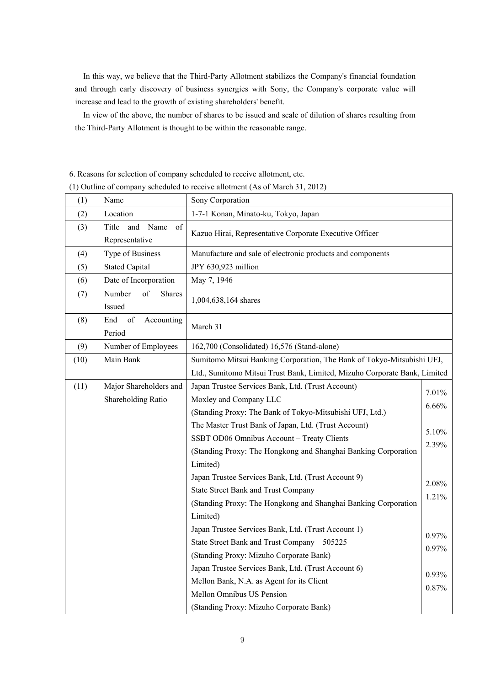In this way, we believe that the Third-Party Allotment stabilizes the Company's financial foundation and through early discovery of business synergies with Sony, the Company's corporate value will increase and lead to the growth of existing shareholders' benefit.

In view of the above, the number of shares to be issued and scale of dilution of shares resulting from the Third-Party Allotment is thought to be within the reasonable range.

6. Reasons for selection of company scheduled to receive allotment, etc.

(1) Outline of company scheduled to receive allotment (As of March 31, 2012)

| (1)  | Name                                         | Sony Corporation                                                          |                |
|------|----------------------------------------------|---------------------------------------------------------------------------|----------------|
| (2)  | Location                                     | 1-7-1 Konan, Minato-ku, Tokyo, Japan                                      |                |
| (3)  | and<br>Name<br>of<br>Title<br>Representative | Kazuo Hirai, Representative Corporate Executive Officer                   |                |
| (4)  | Type of Business                             | Manufacture and sale of electronic products and components                |                |
| (5)  | <b>Stated Capital</b>                        | JPY 630,923 million                                                       |                |
| (6)  | Date of Incorporation                        | May 7, 1946                                                               |                |
| (7)  | of<br>Number<br><b>Shares</b><br>Issued      | 1,004,638,164 shares                                                      |                |
| (8)  | End<br>of<br>Accounting<br>Period            | March 31                                                                  |                |
| (9)  | Number of Employees                          | 162,700 (Consolidated) 16,576 (Stand-alone)                               |                |
| (10) | Main Bank                                    | Sumitomo Mitsui Banking Corporation, The Bank of Tokyo-Mitsubishi UFJ,    |                |
|      |                                              | Ltd., Sumitomo Mitsui Trust Bank, Limited, Mizuho Corporate Bank, Limited |                |
| (11) | Major Shareholders and                       | Japan Trustee Services Bank, Ltd. (Trust Account)                         | 7.01%          |
|      | Shareholding Ratio                           | Moxley and Company LLC                                                    | 6.66%          |
|      |                                              | (Standing Proxy: The Bank of Tokyo-Mitsubishi UFJ, Ltd.)                  |                |
|      |                                              | The Master Trust Bank of Japan, Ltd. (Trust Account)                      | 5.10%          |
|      |                                              | SSBT OD06 Omnibus Account - Treaty Clients                                | 2.39%          |
|      |                                              | (Standing Proxy: The Hongkong and Shanghai Banking Corporation            |                |
|      |                                              | Limited)                                                                  |                |
|      |                                              | Japan Trustee Services Bank, Ltd. (Trust Account 9)                       |                |
|      |                                              | <b>State Street Bank and Trust Company</b>                                | 2.08%<br>1.21% |
|      |                                              | (Standing Proxy: The Hongkong and Shanghai Banking Corporation            |                |
|      |                                              | Limited)                                                                  |                |
|      |                                              | Japan Trustee Services Bank, Ltd. (Trust Account 1)                       | 0.97%          |
|      |                                              | State Street Bank and Trust Company 505225                                | 0.97%          |
|      |                                              | (Standing Proxy: Mizuho Corporate Bank)                                   |                |
|      |                                              | Japan Trustee Services Bank, Ltd. (Trust Account 6)                       | 0.93%          |
|      |                                              | Mellon Bank, N.A. as Agent for its Client                                 | 0.87%          |
|      |                                              | Mellon Omnibus US Pension                                                 |                |
|      |                                              | (Standing Proxy: Mizuho Corporate Bank)                                   |                |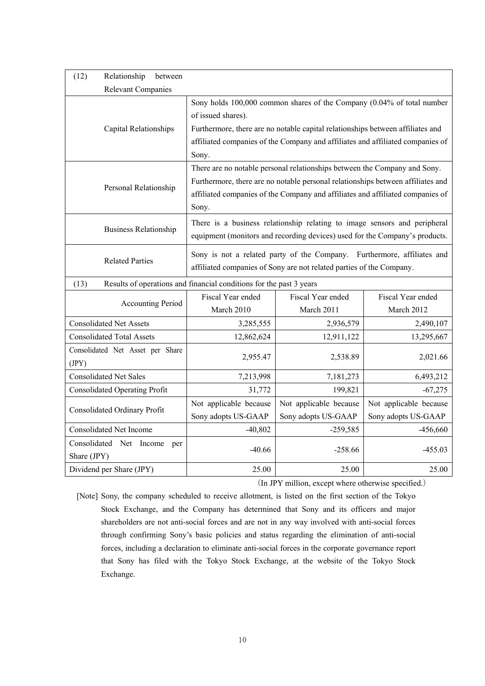| (12)<br>Relationship                      | between                      |                                                                                                                                                                                                                                                                           |                                                                                                                                                          |                                 |  |  |
|-------------------------------------------|------------------------------|---------------------------------------------------------------------------------------------------------------------------------------------------------------------------------------------------------------------------------------------------------------------------|----------------------------------------------------------------------------------------------------------------------------------------------------------|---------------------------------|--|--|
|                                           | <b>Relevant Companies</b>    |                                                                                                                                                                                                                                                                           |                                                                                                                                                          |                                 |  |  |
|                                           | <b>Capital Relationships</b> | Sony holds 100,000 common shares of the Company (0.04% of total number<br>of issued shares).<br>Furthermore, there are no notable capital relationships between affiliates and<br>affiliated companies of the Company and affiliates and affiliated companies of<br>Sony. |                                                                                                                                                          |                                 |  |  |
|                                           | Personal Relationship        | There are no notable personal relationships between the Company and Sony.<br>Furthermore, there are no notable personal relationships between affiliates and<br>affiliated companies of the Company and affiliates and affiliated companies of                            |                                                                                                                                                          |                                 |  |  |
|                                           | <b>Business Relationship</b> |                                                                                                                                                                                                                                                                           | There is a business relationship relating to image sensors and peripheral<br>equipment (monitors and recording devices) used for the Company's products. |                                 |  |  |
|                                           | <b>Related Parties</b>       | Sony is not a related party of the Company. Furthermore, affiliates and<br>affiliated companies of Sony are not related parties of the Company.                                                                                                                           |                                                                                                                                                          |                                 |  |  |
| (13)                                      |                              | Results of operations and financial conditions for the past 3 years                                                                                                                                                                                                       |                                                                                                                                                          |                                 |  |  |
|                                           | <b>Accounting Period</b>     | Fiscal Year ended<br>March 2010                                                                                                                                                                                                                                           | Fiscal Year ended<br>March 2011                                                                                                                          | Fiscal Year ended<br>March 2012 |  |  |
| <b>Consolidated Net Assets</b>            |                              | 3,285,555                                                                                                                                                                                                                                                                 | 2,936,579                                                                                                                                                | 2,490,107                       |  |  |
| <b>Consolidated Total Assets</b>          |                              | 12,862,624                                                                                                                                                                                                                                                                | 12,911,122                                                                                                                                               | 13,295,667                      |  |  |
| Consolidated Net Asset per Share<br>(JPY) |                              | 2,955.47                                                                                                                                                                                                                                                                  | 2,538.89                                                                                                                                                 | 2,021.66                        |  |  |
| <b>Consolidated Net Sales</b>             |                              | 7,213,998                                                                                                                                                                                                                                                                 | 7,181,273                                                                                                                                                | 6,493,212                       |  |  |
| <b>Consolidated Operating Profit</b>      |                              | 31,772                                                                                                                                                                                                                                                                    | 199,821                                                                                                                                                  | $-67,275$                       |  |  |
| Consolidated Ordinary Profit              |                              | Not applicable because                                                                                                                                                                                                                                                    | Not applicable because                                                                                                                                   | Not applicable because          |  |  |
|                                           |                              | Sony adopts US-GAAP                                                                                                                                                                                                                                                       | Sony adopts US-GAAP                                                                                                                                      | Sony adopts US-GAAP             |  |  |
| Consolidated Net Income                   |                              | $-40,802$                                                                                                                                                                                                                                                                 | $-259,585$                                                                                                                                               | $-456,660$                      |  |  |
| Consolidated Net Income<br>Share (JPY)    | per                          | $-40.66$                                                                                                                                                                                                                                                                  | $-258.66$                                                                                                                                                | $-455.03$                       |  |  |
| Dividend per Share (JPY)                  |                              | 25.00                                                                                                                                                                                                                                                                     | 25.00                                                                                                                                                    | 25.00                           |  |  |

(In JPY million, except where otherwise specified.)

[Note] Sony, the company scheduled to receive allotment, is listed on the first section of the Tokyo Stock Exchange, and the Company has determined that Sony and its officers and major shareholders are not anti-social forces and are not in any way involved with anti-social forces through confirming Sony's basic policies and status regarding the elimination of anti-social forces, including a declaration to eliminate anti-social forces in the corporate governance report that Sony has filed with the Tokyo Stock Exchange, at the website of the Tokyo Stock Exchange.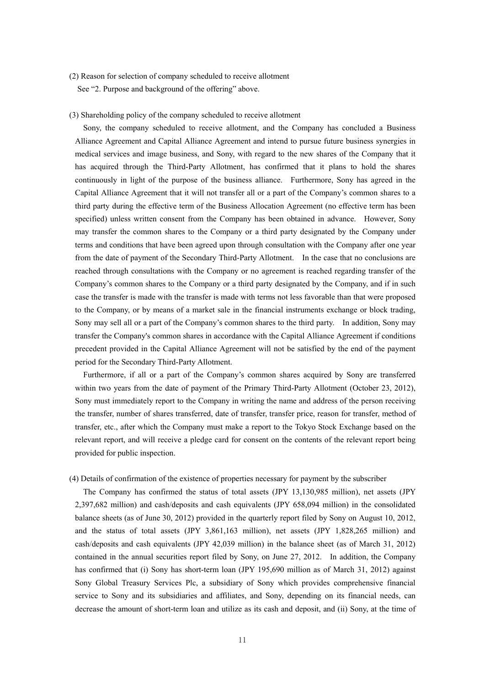(2) Reason for selection of company scheduled to receive allotment See "2. Purpose and background of the offering" above.

#### (3) Shareholding policy of the company scheduled to receive allotment

Sony, the company scheduled to receive allotment, and the Company has concluded a Business Alliance Agreement and Capital Alliance Agreement and intend to pursue future business synergies in medical services and image business, and Sony, with regard to the new shares of the Company that it has acquired through the Third-Party Allotment, has confirmed that it plans to hold the shares continuously in light of the purpose of the business alliance. Furthermore, Sony has agreed in the Capital Alliance Agreement that it will not transfer all or a part of the Company's common shares to a third party during the effective term of the Business Allocation Agreement (no effective term has been specified) unless written consent from the Company has been obtained in advance. However, Sony may transfer the common shares to the Company or a third party designated by the Company under terms and conditions that have been agreed upon through consultation with the Company after one year from the date of payment of the Secondary Third-Party Allotment. In the case that no conclusions are reached through consultations with the Company or no agreement is reached regarding transfer of the Company's common shares to the Company or a third party designated by the Company, and if in such case the transfer is made with the transfer is made with terms not less favorable than that were proposed to the Company, or by means of a market sale in the financial instruments exchange or block trading, Sony may sell all or a part of the Company's common shares to the third party. In addition, Sony may transfer the Company's common shares in accordance with the Capital Alliance Agreement if conditions precedent provided in the Capital Alliance Agreement will not be satisfied by the end of the payment period for the Secondary Third-Party Allotment.

Furthermore, if all or a part of the Company's common shares acquired by Sony are transferred within two years from the date of payment of the Primary Third-Party Allotment (October 23, 2012), Sony must immediately report to the Company in writing the name and address of the person receiving the transfer, number of shares transferred, date of transfer, transfer price, reason for transfer, method of transfer, etc., after which the Company must make a report to the Tokyo Stock Exchange based on the relevant report, and will receive a pledge card for consent on the contents of the relevant report being provided for public inspection.

#### (4) Details of confirmation of the existence of properties necessary for payment by the subscriber

The Company has confirmed the status of total assets (JPY 13,130,985 million), net assets (JPY 2,397,682 million) and cash/deposits and cash equivalents (JPY 658,094 million) in the consolidated balance sheets (as of June 30, 2012) provided in the quarterly report filed by Sony on August 10, 2012, and the status of total assets (JPY 3,861,163 million), net assets (JPY 1,828,265 million) and cash/deposits and cash equivalents (JPY 42,039 million) in the balance sheet (as of March 31, 2012) contained in the annual securities report filed by Sony, on June 27, 2012. In addition, the Company has confirmed that (i) Sony has short-term loan (JPY 195,690 million as of March 31, 2012) against Sony Global Treasury Services Plc, a subsidiary of Sony which provides comprehensive financial service to Sony and its subsidiaries and affiliates, and Sony, depending on its financial needs, can decrease the amount of short-term loan and utilize as its cash and deposit, and (ii) Sony, at the time of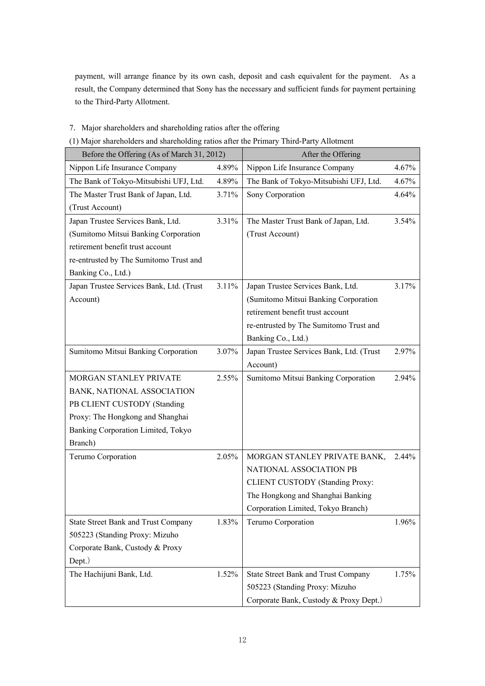payment, will arrange finance by its own cash, deposit and cash equivalent for the payment. As a result, the Company determined that Sony has the necessary and sufficient funds for payment pertaining to the Third-Party Allotment.

- 7.Major shareholders and shareholding ratios after the offering
- (1) Major shareholders and shareholding ratios after the Primary Third-Party Allotment

| Before the Offering (As of March 31, 2012) |       | After the Offering                         |          |
|--------------------------------------------|-------|--------------------------------------------|----------|
| Nippon Life Insurance Company              | 4.89% | Nippon Life Insurance Company              | 4.67%    |
| The Bank of Tokyo-Mitsubishi UFJ, Ltd.     | 4.89% | The Bank of Tokyo-Mitsubishi UFJ, Ltd.     | 4.67%    |
| The Master Trust Bank of Japan, Ltd.       | 3.71% | Sony Corporation                           | 4.64%    |
| (Trust Account)                            |       |                                            |          |
| Japan Trustee Services Bank, Ltd.          | 3.31% | The Master Trust Bank of Japan, Ltd.       | $3.54\%$ |
| (Sumitomo Mitsui Banking Corporation       |       | (Trust Account)                            |          |
| retirement benefit trust account           |       |                                            |          |
| re-entrusted by The Sumitomo Trust and     |       |                                            |          |
| Banking Co., Ltd.)                         |       |                                            |          |
| Japan Trustee Services Bank, Ltd. (Trust   | 3.11% | Japan Trustee Services Bank, Ltd.          | 3.17%    |
| Account)                                   |       | (Sumitomo Mitsui Banking Corporation       |          |
|                                            |       | retirement benefit trust account           |          |
|                                            |       | re-entrusted by The Sumitomo Trust and     |          |
|                                            |       | Banking Co., Ltd.)                         |          |
| Sumitomo Mitsui Banking Corporation        | 3.07% | Japan Trustee Services Bank, Ltd. (Trust   | 2.97%    |
|                                            |       | Account)                                   |          |
| MORGAN STANLEY PRIVATE                     | 2.55% | Sumitomo Mitsui Banking Corporation        | 2.94%    |
| BANK, NATIONAL ASSOCIATION                 |       |                                            |          |
| PB CLIENT CUSTODY (Standing                |       |                                            |          |
| Proxy: The Hongkong and Shanghai           |       |                                            |          |
| Banking Corporation Limited, Tokyo         |       |                                            |          |
| Branch)                                    |       |                                            |          |
| Terumo Corporation                         | 2.05% | MORGAN STANLEY PRIVATE BANK,               | $2.44\%$ |
|                                            |       | NATIONAL ASSOCIATION PB                    |          |
|                                            |       | <b>CLIENT CUSTODY (Standing Proxy:</b>     |          |
|                                            |       | The Hongkong and Shanghai Banking          |          |
|                                            |       | Corporation Limited, Tokyo Branch)         |          |
| <b>State Street Bank and Trust Company</b> | 1.83% | Terumo Corporation                         | 1.96%    |
| 505223 (Standing Proxy: Mizuho             |       |                                            |          |
| Corporate Bank, Custody & Proxy            |       |                                            |          |
| Dept.)                                     |       |                                            |          |
| The Hachijuni Bank, Ltd.                   | 1.52% | <b>State Street Bank and Trust Company</b> | 1.75%    |
|                                            |       | 505223 (Standing Proxy: Mizuho             |          |
|                                            |       | Corporate Bank, Custody & Proxy Dept.)     |          |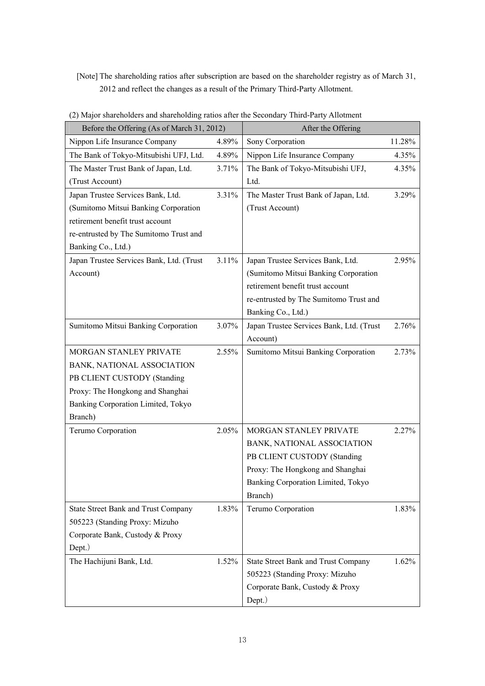# [Note] The shareholding ratios after subscription are based on the shareholder registry as of March 31, 2012 and reflect the changes as a result of the Primary Third-Party Allotment.

| Before the Offering (As of March 31, 2012) |       | After the Offering                         |        |
|--------------------------------------------|-------|--------------------------------------------|--------|
| Nippon Life Insurance Company              | 4.89% | Sony Corporation                           | 11.28% |
| The Bank of Tokyo-Mitsubishi UFJ, Ltd.     | 4.89% | Nippon Life Insurance Company              | 4.35%  |
| The Master Trust Bank of Japan, Ltd.       | 3.71% | The Bank of Tokyo-Mitsubishi UFJ,          | 4.35%  |
| (Trust Account)                            |       | Ltd.                                       |        |
| Japan Trustee Services Bank, Ltd.          | 3.31% | The Master Trust Bank of Japan, Ltd.       | 3.29%  |
| (Sumitomo Mitsui Banking Corporation       |       | (Trust Account)                            |        |
| retirement benefit trust account           |       |                                            |        |
| re-entrusted by The Sumitomo Trust and     |       |                                            |        |
| Banking Co., Ltd.)                         |       |                                            |        |
| Japan Trustee Services Bank, Ltd. (Trust   | 3.11% | Japan Trustee Services Bank, Ltd.          | 2.95%  |
| Account)                                   |       | (Sumitomo Mitsui Banking Corporation       |        |
|                                            |       | retirement benefit trust account           |        |
|                                            |       | re-entrusted by The Sumitomo Trust and     |        |
|                                            |       | Banking Co., Ltd.)                         |        |
| Sumitomo Mitsui Banking Corporation        | 3.07% | Japan Trustee Services Bank, Ltd. (Trust   | 2.76%  |
|                                            |       | Account)                                   |        |
| MORGAN STANLEY PRIVATE                     | 2.55% | Sumitomo Mitsui Banking Corporation        | 2.73%  |
| BANK, NATIONAL ASSOCIATION                 |       |                                            |        |
| PB CLIENT CUSTODY (Standing                |       |                                            |        |
| Proxy: The Hongkong and Shanghai           |       |                                            |        |
| Banking Corporation Limited, Tokyo         |       |                                            |        |
| Branch)                                    |       |                                            |        |
| Terumo Corporation                         | 2.05% | MORGAN STANLEY PRIVATE                     | 2.27%  |
|                                            |       | BANK, NATIONAL ASSOCIATION                 |        |
|                                            |       | PB CLIENT CUSTODY (Standing                |        |
|                                            |       | Proxy: The Hongkong and Shanghai           |        |
|                                            |       | Banking Corporation Limited, Tokyo         |        |
|                                            |       | Branch)                                    |        |
| <b>State Street Bank and Trust Company</b> | 1.83% | Terumo Corporation                         | 1.83%  |
| 505223 (Standing Proxy: Mizuho             |       |                                            |        |
| Corporate Bank, Custody & Proxy            |       |                                            |        |
| Dept.)                                     |       |                                            |        |
| The Hachijuni Bank, Ltd.                   | 1.52% | <b>State Street Bank and Trust Company</b> | 1.62%  |
|                                            |       | 505223 (Standing Proxy: Mizuho             |        |
|                                            |       | Corporate Bank, Custody & Proxy            |        |
|                                            |       | Dept.)                                     |        |

(2) Major shareholders and shareholding ratios after the Secondary Third-Party Allotment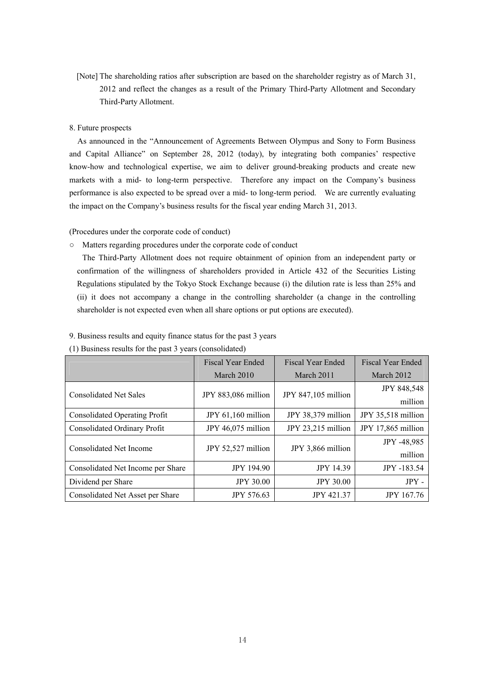[Note] The shareholding ratios after subscription are based on the shareholder registry as of March 31, 2012 and reflect the changes as a result of the Primary Third-Party Allotment and Secondary Third-Party Allotment.

### 8. Future prospects

As announced in the "Announcement of Agreements Between Olympus and Sony to Form Business and Capital Alliance" on September 28, 2012 (today), by integrating both companies' respective know-how and technological expertise, we aim to deliver ground-breaking products and create new markets with a mid- to long-term perspective. Therefore any impact on the Company's business performance is also expected to be spread over a mid- to long-term period. We are currently evaluating the impact on the Company's business results for the fiscal year ending March 31, 2013.

(Procedures under the corporate code of conduct)

○ Matters regarding procedures under the corporate code of conduct

The Third-Party Allotment does not require obtainment of opinion from an independent party or confirmation of the willingness of shareholders provided in Article 432 of the Securities Listing Regulations stipulated by the Tokyo Stock Exchange because (i) the dilution rate is less than 25% and (ii) it does not accompany a change in the controlling shareholder (a change in the controlling shareholder is not expected even when all share options or put options are executed).

|  |  |  |  | 9. Business results and equity finance status for the past 3 years |  |
|--|--|--|--|--------------------------------------------------------------------|--|
|--|--|--|--|--------------------------------------------------------------------|--|

|                                      | <b>Fiscal Year Ended</b> | <b>Fiscal Year Ended</b> | <b>Fiscal Year Ended</b> |
|--------------------------------------|--------------------------|--------------------------|--------------------------|
|                                      | March 2010               | March 2011               | March 2012               |
|                                      |                          | JPY 847,105 million      | <b>JPY 848,548</b>       |
| <b>Consolidated Net Sales</b>        | JPY 883,086 million      |                          | million                  |
| <b>Consolidated Operating Profit</b> | JPY $61,160$ million     | JPY 38,379 million       | JPY 35,518 million       |
| Consolidated Ordinary Profit         | JPY 46,075 million       | JPY 23,215 million       | JPY 17,865 million       |
| Consolidated Net Income              | JPY 52,527 million       | JPY 3,866 million        | JPY -48,985              |
|                                      |                          |                          | million                  |
| Consolidated Net Income per Share    | <b>JPY 194.90</b>        | <b>JPY 14.39</b>         | JPY -183.54              |
| Dividend per Share                   | <b>JPY 30.00</b>         | <b>JPY 30.00</b>         | JPY -                    |
| Consolidated Net Asset per Share     | <b>JPY 576.63</b>        | <b>JPY 421.37</b>        | <b>JPY 167.76</b>        |

(1) Business results for the past 3 years (consolidated)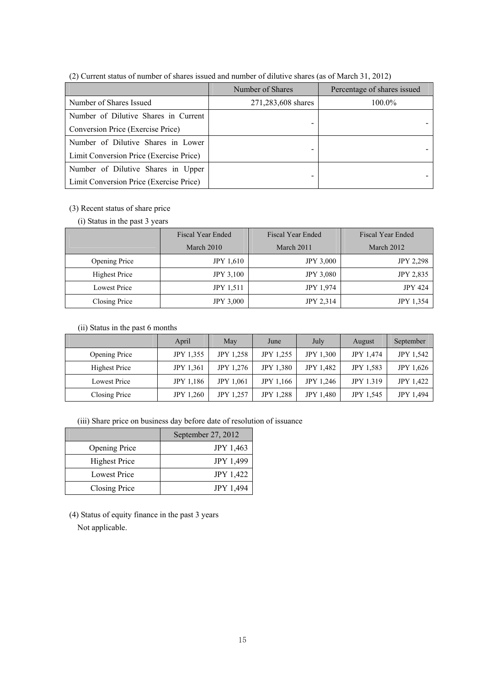|                                         | Number of Shares   | Percentage of shares issued |  |  |
|-----------------------------------------|--------------------|-----------------------------|--|--|
| Number of Shares Issued                 | 271,283,608 shares | 100.0%                      |  |  |
| Number of Dilutive Shares in Current    |                    |                             |  |  |
| Conversion Price (Exercise Price)       |                    |                             |  |  |
| Number of Dilutive Shares in Lower      |                    |                             |  |  |
| Limit Conversion Price (Exercise Price) |                    |                             |  |  |
| Number of Dilutive Shares in Upper      |                    |                             |  |  |
| Limit Conversion Price (Exercise Price) |                    |                             |  |  |

(2) Current status of number of shares issued and number of dilutive shares (as of March 31, 2012)

# (3) Recent status of share price

# (i) Status in the past 3 years

|                      | <b>Fiscal Year Ended</b> | <b>Fiscal Year Ended</b> | <b>Fiscal Year Ended</b> |  |
|----------------------|--------------------------|--------------------------|--------------------------|--|
|                      | March 2010               | March 2011               | March 2012               |  |
| <b>Opening Price</b> | <b>JPY 1.610</b>         | <b>JPY 3,000</b>         | <b>JPY 2,298</b>         |  |
| <b>Highest Price</b> | <b>JPY 3,100</b>         | <b>JPY 3,080</b>         | <b>JPY 2,835</b>         |  |
| <b>Lowest Price</b>  | <b>JPY 1.511</b>         | <b>JPY 1,974</b>         | <b>JPY 424</b>           |  |
| Closing Price        | <b>JPY 3,000</b>         | <b>JPY 2,314</b>         | <b>JPY 1,354</b>         |  |

# (ii) Status in the past 6 months

|                     | April            | May              | June             | July             | August           | September        |
|---------------------|------------------|------------------|------------------|------------------|------------------|------------------|
| Opening Price       | <b>JPY 1,355</b> | <b>JPY 1,258</b> | <b>JPY 1.255</b> | <b>JPY 1.300</b> | <b>JPY 1,474</b> | <b>JPY 1.542</b> |
| Highest Price       | <b>JPY 1.361</b> | <b>JPY 1.276</b> | <b>JPY 1.380</b> | <b>JPY 1.482</b> | <b>JPY 1.583</b> | <b>JPY 1,626</b> |
| <b>Lowest Price</b> | <b>JPY 1.186</b> | <b>JPY 1,061</b> | <b>JPY</b> 1,166 | <b>JPY 1,246</b> | <b>JPY 1.319</b> | <b>JPY 1.422</b> |
| Closing Price       | <b>JPY 1.260</b> | <b>JPY 1,257</b> | <b>JPY 1.288</b> | <b>JPY 1,480</b> | <b>JPY 1.545</b> | <b>JPY 1,494</b> |

(iii) Share price on business day before date of resolution of issuance

|                      | September 27, 2012 |
|----------------------|--------------------|
| <b>Opening Price</b> | <b>JPY 1,463</b>   |
| <b>Highest Price</b> | <b>JPY 1,499</b>   |
| <b>Lowest Price</b>  | <b>JPY 1,422</b>   |
| Closing Price        | <b>JPY 1,494</b>   |

(4) Status of equity finance in the past 3 years Not applicable.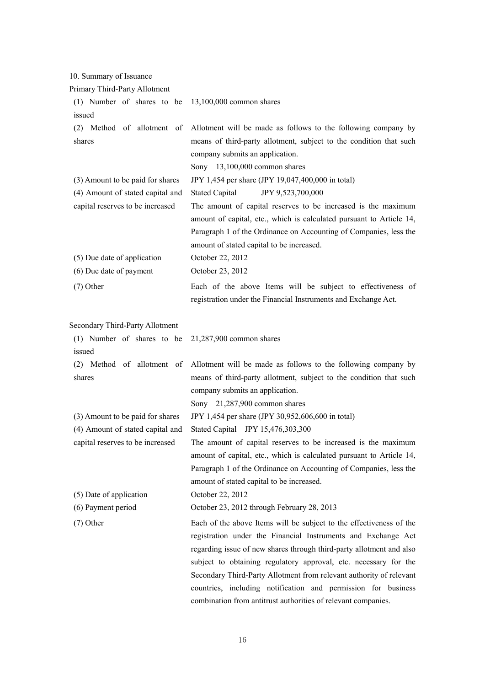10. Summary of Issuance

| Primary Third-Party Allotment                                        |                                                                                                                                                                                                                                                                                                                                                                                                                                                                                           |
|----------------------------------------------------------------------|-------------------------------------------------------------------------------------------------------------------------------------------------------------------------------------------------------------------------------------------------------------------------------------------------------------------------------------------------------------------------------------------------------------------------------------------------------------------------------------------|
| (1) Number of shares to be                                           | 13,100,000 common shares                                                                                                                                                                                                                                                                                                                                                                                                                                                                  |
| issued                                                               |                                                                                                                                                                                                                                                                                                                                                                                                                                                                                           |
| (2) Method of allotment of<br>shares                                 | Allotment will be made as follows to the following company by<br>means of third-party allotment, subject to the condition that such<br>company submits an application.<br>Sony 13,100,000 common shares                                                                                                                                                                                                                                                                                   |
| (3) Amount to be paid for shares                                     | JPY 1,454 per share (JPY 19,047,400,000 in total)                                                                                                                                                                                                                                                                                                                                                                                                                                         |
| (4) Amount of stated capital and<br>capital reserves to be increased | <b>Stated Capital</b><br>JPY 9,523,700,000<br>The amount of capital reserves to be increased is the maximum<br>amount of capital, etc., which is calculated pursuant to Article 14,<br>Paragraph 1 of the Ordinance on Accounting of Companies, less the<br>amount of stated capital to be increased.                                                                                                                                                                                     |
| (5) Due date of application                                          | October 22, 2012                                                                                                                                                                                                                                                                                                                                                                                                                                                                          |
| (6) Due date of payment                                              | October 23, 2012                                                                                                                                                                                                                                                                                                                                                                                                                                                                          |
| $(7)$ Other                                                          | Each of the above Items will be subject to effectiveness of<br>registration under the Financial Instruments and Exchange Act.                                                                                                                                                                                                                                                                                                                                                             |
| Secondary Third-Party Allotment                                      |                                                                                                                                                                                                                                                                                                                                                                                                                                                                                           |
| (1) Number of shares to be<br>issued                                 | 21,287,900 common shares                                                                                                                                                                                                                                                                                                                                                                                                                                                                  |
| (2) Method of allotment of<br>shares                                 | Allotment will be made as follows to the following company by<br>means of third-party allotment, subject to the condition that such<br>company submits an application.<br>Sony 21,287,900 common shares                                                                                                                                                                                                                                                                                   |
| (3) Amount to be paid for shares                                     | JPY 1,454 per share (JPY 30,952,606,600 in total)                                                                                                                                                                                                                                                                                                                                                                                                                                         |
| (4) Amount of stated capital and                                     | Stated Capital JPY 15,476,303,300                                                                                                                                                                                                                                                                                                                                                                                                                                                         |
| capital reserves to be increased                                     | The amount of capital reserves to be increased is the maximum<br>amount of capital, etc., which is calculated pursuant to Article 14,<br>Paragraph 1 of the Ordinance on Accounting of Companies, less the<br>amount of stated capital to be increased.                                                                                                                                                                                                                                   |
| (5) Date of application                                              | October 22, 2012                                                                                                                                                                                                                                                                                                                                                                                                                                                                          |
| (6) Payment period                                                   | October 23, 2012 through February 28, 2013                                                                                                                                                                                                                                                                                                                                                                                                                                                |
| $(7)$ Other                                                          | Each of the above Items will be subject to the effectiveness of the<br>registration under the Financial Instruments and Exchange Act<br>regarding issue of new shares through third-party allotment and also<br>subject to obtaining regulatory approval, etc. necessary for the<br>Secondary Third-Party Allotment from relevant authority of relevant<br>countries, including notification and permission for business<br>combination from antitrust authorities of relevant companies. |